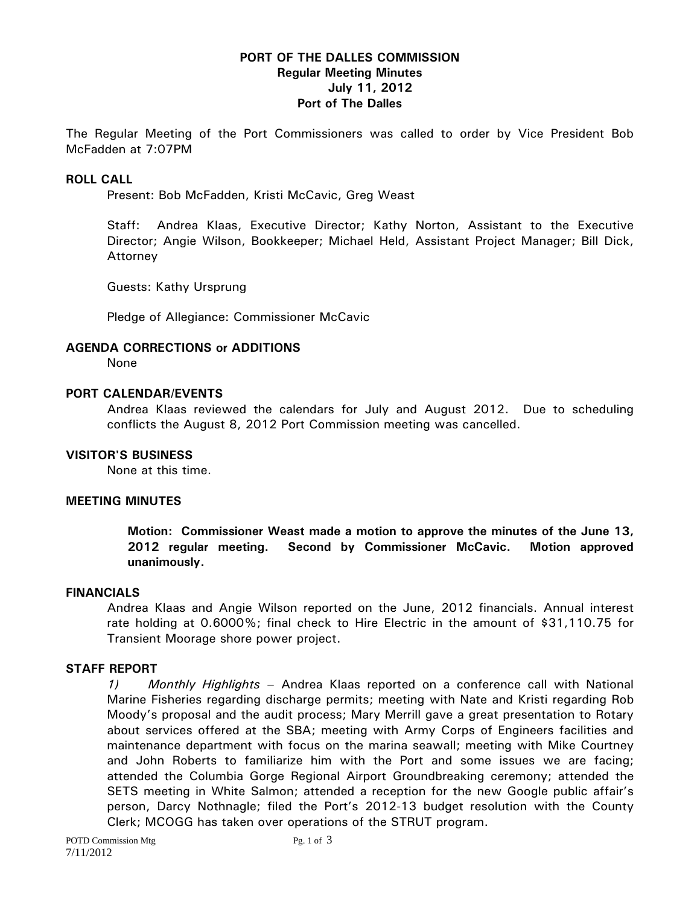## **PORT OF THE DALLES COMMISSION Regular Meeting Minutes July 11, 2012 Port of The Dalles**

The Regular Meeting of the Port Commissioners was called to order by Vice President Bob McFadden at 7:07PM

### **ROLL CALL**

Present: Bob McFadden, Kristi McCavic, Greg Weast

Staff: Andrea Klaas, Executive Director; Kathy Norton, Assistant to the Executive Director; Angie Wilson, Bookkeeper; Michael Held, Assistant Project Manager; Bill Dick, Attorney

Guests: Kathy Ursprung

Pledge of Allegiance: Commissioner McCavic

#### **AGENDA CORRECTIONS or ADDITIONS**

None

#### **PORT CALENDAR/EVENTS**

Andrea Klaas reviewed the calendars for July and August 2012. Due to scheduling conflicts the August 8, 2012 Port Commission meeting was cancelled.

#### **VISITOR'S BUSINESS**

None at this time.

#### **MEETING MINUTES**

**Motion: Commissioner Weast made a motion to approve the minutes of the June 13, 2012 regular meeting. Second by Commissioner McCavic. Motion approved unanimously.** 

#### **FINANCIALS**

Andrea Klaas and Angie Wilson reported on the June, 2012 financials. Annual interest rate holding at 0.6000%; final check to Hire Electric in the amount of \$31,110.75 for Transient Moorage shore power project.

### **STAFF REPORT**

*1) Monthly Highlights –* Andrea Klaas reported on a conference call with National Marine Fisheries regarding discharge permits; meeting with Nate and Kristi regarding Rob Moody's proposal and the audit process; Mary Merrill gave a great presentation to Rotary about services offered at the SBA; meeting with Army Corps of Engineers facilities and maintenance department with focus on the marina seawall; meeting with Mike Courtney and John Roberts to familiarize him with the Port and some issues we are facing; attended the Columbia Gorge Regional Airport Groundbreaking ceremony; attended the SETS meeting in White Salmon; attended a reception for the new Google public affair's person, Darcy Nothnagle; filed the Port's 2012-13 budget resolution with the County Clerk; MCOGG has taken over operations of the STRUT program.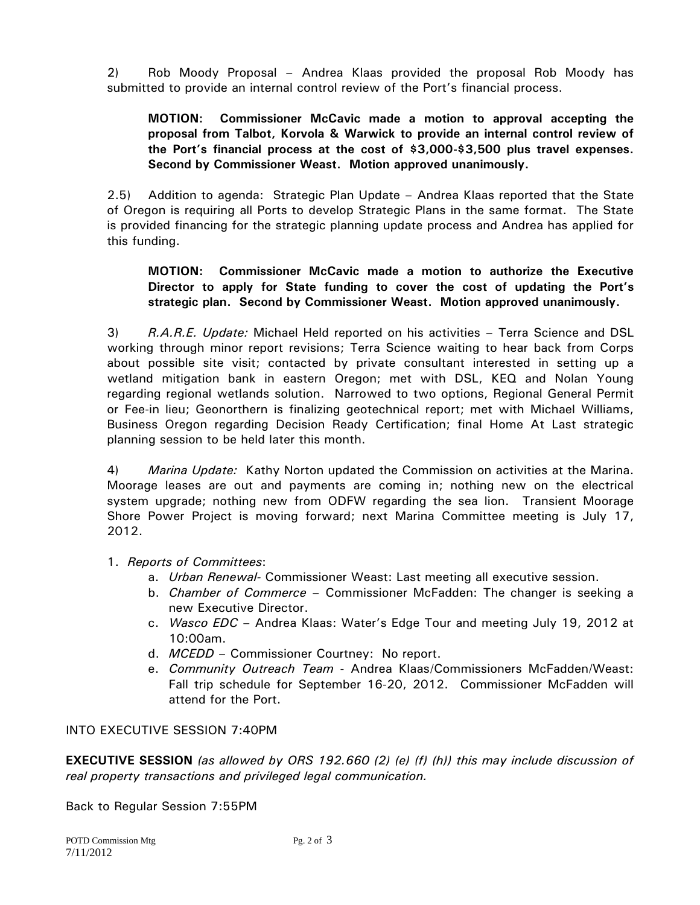2) Rob Moody Proposal – Andrea Klaas provided the proposal Rob Moody has submitted to provide an internal control review of the Port's financial process.

# **MOTION: Commissioner McCavic made a motion to approval accepting the proposal from Talbot, Korvola & Warwick to provide an internal control review of the Port's financial process at the cost of \$3,000-\$3,500 plus travel expenses. Second by Commissioner Weast. Motion approved unanimously.**

2.5) Addition to agenda: Strategic Plan Update – Andrea Klaas reported that the State of Oregon is requiring all Ports to develop Strategic Plans in the same format. The State is provided financing for the strategic planning update process and Andrea has applied for this funding.

## **MOTION: Commissioner McCavic made a motion to authorize the Executive Director to apply for State funding to cover the cost of updating the Port's strategic plan. Second by Commissioner Weast. Motion approved unanimously.**

3) *R.A.R.E. Update:* Michael Held reported on his activities – Terra Science and DSL working through minor report revisions; Terra Science waiting to hear back from Corps about possible site visit; contacted by private consultant interested in setting up a wetland mitigation bank in eastern Oregon; met with DSL, KEQ and Nolan Young regarding regional wetlands solution. Narrowed to two options, Regional General Permit or Fee-in lieu; Geonorthern is finalizing geotechnical report; met with Michael Williams, Business Oregon regarding Decision Ready Certification; final Home At Last strategic planning session to be held later this month.

4) *Marina Update:* Kathy Norton updated the Commission on activities at the Marina. Moorage leases are out and payments are coming in; nothing new on the electrical system upgrade; nothing new from ODFW regarding the sea lion. Transient Moorage Shore Power Project is moving forward; next Marina Committee meeting is July 17, 2012.

# 1. *Reports of Committees*:

- a. *Urban Renewal-* Commissioner Weast: Last meeting all executive session.
- b. *Chamber of Commerce*  Commissioner McFadden: The changer is seeking a new Executive Director.
- c. *Wasco EDC*  Andrea Klaas: Water's Edge Tour and meeting July 19, 2012 at 10:00am.
- d. *MCEDD* Commissioner Courtney: No report.
- e. *Community Outreach Team* Andrea Klaas/Commissioners McFadden/Weast: Fall trip schedule for September 16-20, 2012. Commissioner McFadden will attend for the Port.

## INTO EXECUTIVE SESSION 7:40PM

**EXECUTIVE SESSION** *(as allowed by ORS 192.660 (2) (e) (f) (h)) this may include discussion of real property transactions and privileged legal communication.* 

Back to Regular Session 7:55PM